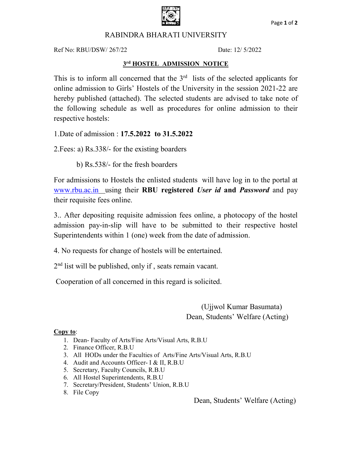

## RABINDRA BHARATI UNIVERSITY

Ref No: RBU/DSW/ 267/22 Date: 12/ 5/2022

### 3 rd HOSTEL ADMISSION NOTICE

This is to inform all concerned that the  $3<sup>rd</sup>$  lists of the selected applicants for online admission to Girls' Hostels of the University in the session 2021-22 are hereby published (attached). The selected students are advised to take note of the following schedule as well as procedures for online admission to their respective hostels:

1.Date of admission : 17.5.2022 to 31.5.2022

2.Fees: a) Rs.338/- for the existing boarders

b) Rs.538/- for the fresh boarders

For admissions to Hostels the enlisted students will have log in to the portal at www.rbu.ac.in using their RBU registered User id and Password and pay their requisite fees online.

3.. After depositing requisite admission fees online, a photocopy of the hostel admission pay-in-slip will have to be submitted to their respective hostel Superintendents within 1 (one) week from the date of admission.

4. No requests for change of hostels will be entertained.

2 nd list will be published, only if , seats remain vacant.

Cooperation of all concerned in this regard is solicited.

 (Ujjwol Kumar Basumata) Dean, Students' Welfare (Acting)

#### Copy to:

- 1. Dean- Faculty of Arts/Fine Arts/Visual Arts, R.B.U
- 2. Finance Officer, R.B.U
- 3. All HODs under the Faculties of Arts/Fine Arts/Visual Arts, R.B.U
- 4. Audit and Accounts Officer- I & II, R.B.U
- 5. Secretary, Faculty Councils, R.B.U
- 6. All Hostel Superintendents, R.B.U
- 7. Secretary/President, Students' Union, R.B.U
- 8. File Copy

Dean, Students' Welfare (Acting)